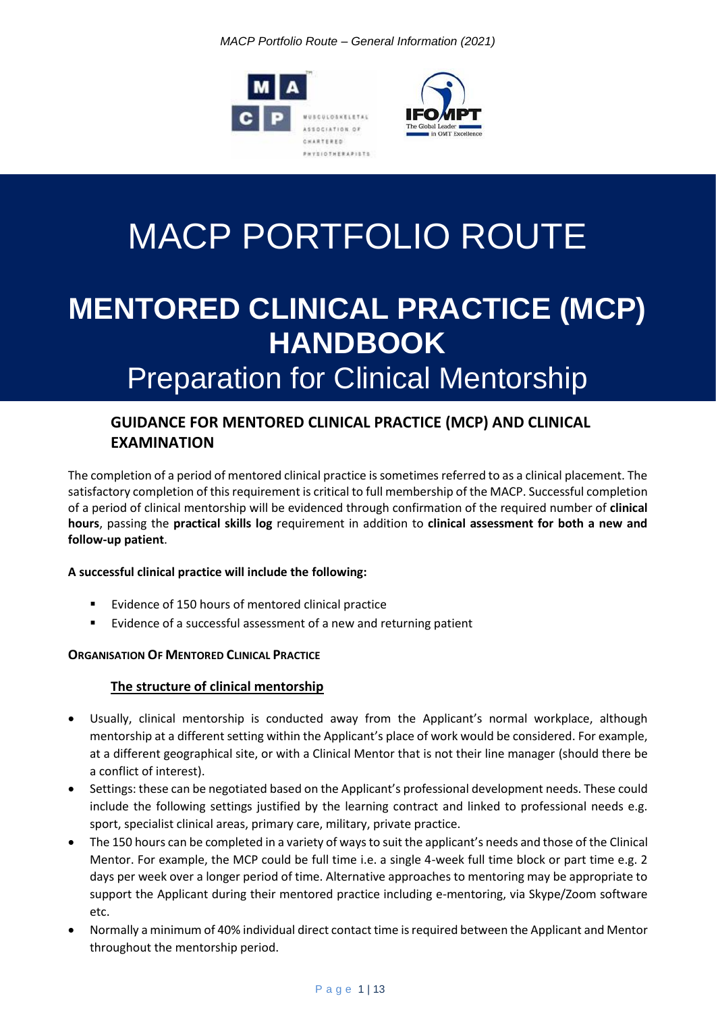*MACP Portfolio Route – General Information (2021)*





# MACP PORTFOLIO ROUTE

# **MENTORED CLINICAL PRACTICE (MCP) HANDBOOK** Preparation for Clinical Mentorship

# **GUIDANCE FOR MENTORED CLINICAL PRACTICE (MCP) AND CLINICAL EXAMINATION**

The completion of a period of mentored clinical practice is sometimes referred to as a clinical placement. The satisfactory completion of this requirement is critical to full membership of the MACP. Successful completion of a period of clinical mentorship will be evidenced through confirmation of the required number of **clinical hours**, passing the **practical skills log** requirement in addition to **clinical assessment for both a new and follow-up patient**.

# **A successful clinical practice will include the following:**

- Evidence of 150 hours of mentored clinical practice
- Evidence of a successful assessment of a new and returning patient

# **ORGANISATION OF MENTORED CLINICAL PRACTICE**

# **The structure of clinical mentorship**

- Usually, clinical mentorship is conducted away from the Applicant's normal workplace, although mentorship at a different setting within the Applicant's place of work would be considered. For example, at a different geographical site, or with a Clinical Mentor that is not their line manager (should there be a conflict of interest).
- Settings: these can be negotiated based on the Applicant's professional development needs. These could include the following settings justified by the learning contract and linked to professional needs e.g. sport, specialist clinical areas, primary care, military, private practice.
- The 150 hours can be completed in a variety of ways to suit the applicant's needs and those of the Clinical Mentor. For example, the MCP could be full time i.e. a single 4-week full time block or part time e.g. 2 days per week over a longer period of time. Alternative approaches to mentoring may be appropriate to support the Applicant during their mentored practice including e-mentoring, via Skype/Zoom software etc.
- Normally a minimum of 40% individual direct contact time is required between the Applicant and Mentor throughout the mentorship period.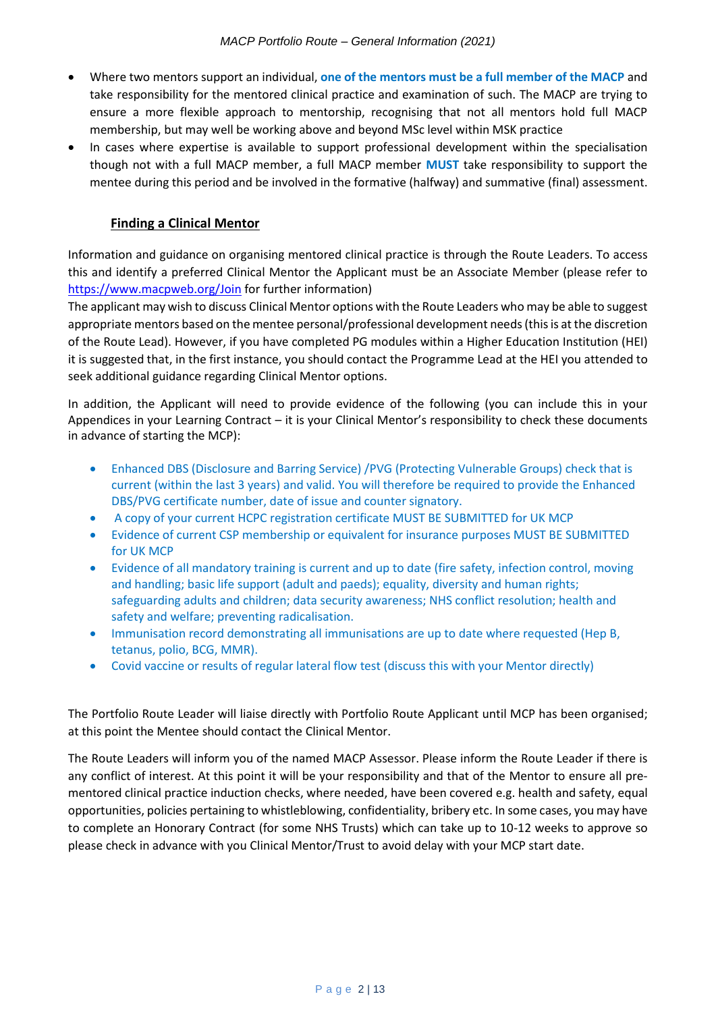- Where two mentors support an individual, **one of the mentors must be a full member of the MACP** and take responsibility for the mentored clinical practice and examination of such. The MACP are trying to ensure a more flexible approach to mentorship, recognising that not all mentors hold full MACP membership, but may well be working above and beyond MSc level within MSK practice
- In cases where expertise is available to support professional development within the specialisation though not with a full MACP member, a full MACP member **MUST** take responsibility to support the mentee during this period and be involved in the formative (halfway) and summative (final) assessment.

#### **Finding a Clinical Mentor**

Information and guidance on organising mentored clinical practice is through the Route Leaders. To access this and identify a preferred Clinical Mentor the Applicant must be an Associate Member (please refer to <https://www.macpweb.org/Join> for further information)

The applicant may wish to discuss Clinical Mentor options with the Route Leaders who may be able to suggest appropriate mentors based on the mentee personal/professional development needs (this is at the discretion of the Route Lead). However, if you have completed PG modules within a Higher Education Institution (HEI) it is suggested that, in the first instance, you should contact the Programme Lead at the HEI you attended to seek additional guidance regarding Clinical Mentor options.

In addition, the Applicant will need to provide evidence of the following (you can include this in your Appendices in your Learning Contract – it is your Clinical Mentor's responsibility to check these documents in advance of starting the MCP):

- Enhanced DBS (Disclosure and Barring Service) /PVG (Protecting Vulnerable Groups) check that is current (within the last 3 years) and valid. You will therefore be required to provide the Enhanced DBS/PVG certificate number, date of issue and counter signatory.
- A copy of your current HCPC registration certificate MUST BE SUBMITTED for UK MCP
- Evidence of current CSP membership or equivalent for insurance purposes MUST BE SUBMITTED for UK MCP
- Evidence of all mandatory training is current and up to date (fire safety, infection control, moving and handling; basic life support (adult and paeds); equality, diversity and human rights; safeguarding adults and children; data security awareness; NHS conflict resolution; health and safety and welfare; preventing radicalisation.
- Immunisation record demonstrating all immunisations are up to date where requested (Hep B, tetanus, polio, BCG, MMR).
- Covid vaccine or results of regular lateral flow test (discuss this with your Mentor directly)

The Portfolio Route Leader will liaise directly with Portfolio Route Applicant until MCP has been organised; at this point the Mentee should contact the Clinical Mentor.

The Route Leaders will inform you of the named MACP Assessor. Please inform the Route Leader if there is any conflict of interest. At this point it will be your responsibility and that of the Mentor to ensure all prementored clinical practice induction checks, where needed, have been covered e.g. health and safety, equal opportunities, policies pertaining to whistleblowing, confidentiality, bribery etc. In some cases, you may have to complete an Honorary Contract (for some NHS Trusts) which can take up to 10-12 weeks to approve so please check in advance with you Clinical Mentor/Trust to avoid delay with your MCP start date.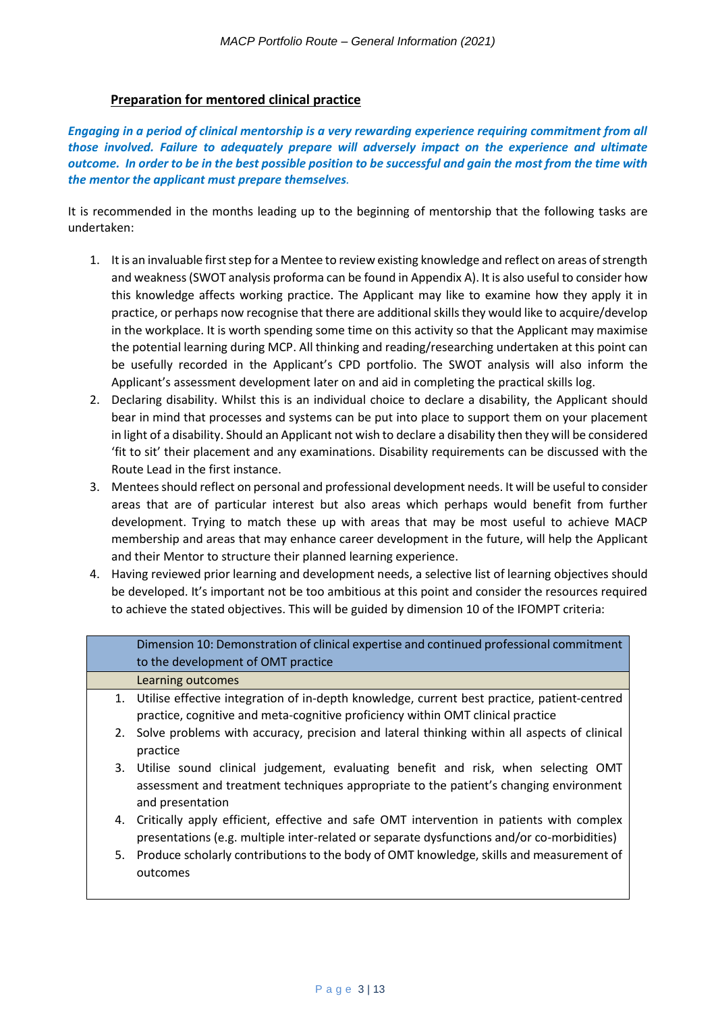#### **Preparation for mentored clinical practice**

*Engaging in a period of clinical mentorship is a very rewarding experience requiring commitment from all those involved. Failure to adequately prepare will adversely impact on the experience and ultimate outcome. In order to be in the best possible position to be successful and gain the most from the time with the mentor the applicant must prepare themselves.*

It is recommended in the months leading up to the beginning of mentorship that the following tasks are undertaken:

- 1. It is an invaluable first step for a Mentee to review existing knowledge and reflect on areas of strength and weakness (SWOT analysis proforma can be found in Appendix A). It is also useful to consider how this knowledge affects working practice. The Applicant may like to examine how they apply it in practice, or perhaps now recognise that there are additional skills they would like to acquire/develop in the workplace. It is worth spending some time on this activity so that the Applicant may maximise the potential learning during MCP. All thinking and reading/researching undertaken at this point can be usefully recorded in the Applicant's CPD portfolio. The SWOT analysis will also inform the Applicant's assessment development later on and aid in completing the practical skills log.
- 2. Declaring disability. Whilst this is an individual choice to declare a disability, the Applicant should bear in mind that processes and systems can be put into place to support them on your placement in light of a disability. Should an Applicant not wish to declare a disability then they will be considered 'fit to sit' their placement and any examinations. Disability requirements can be discussed with the Route Lead in the first instance.
- 3. Mentees should reflect on personal and professional development needs. It will be useful to consider areas that are of particular interest but also areas which perhaps would benefit from further development. Trying to match these up with areas that may be most useful to achieve MACP membership and areas that may enhance career development in the future, will help the Applicant and their Mentor to structure their planned learning experience.
- 4. Having reviewed prior learning and development needs, a selective list of learning objectives should be developed. It's important not be too ambitious at this point and consider the resources required to achieve the stated objectives. This will be guided by dimension 10 of the IFOMPT criteria:

| Dimension 10: Demonstration of clinical expertise and continued professional commitment<br>to the development of OMT practice                                                                     |
|---------------------------------------------------------------------------------------------------------------------------------------------------------------------------------------------------|
| Learning outcomes                                                                                                                                                                                 |
| 1. Utilise effective integration of in-depth knowledge, current best practice, patient-centred<br>practice, cognitive and meta-cognitive proficiency within OMT clinical practice                 |
| 2. Solve problems with accuracy, precision and lateral thinking within all aspects of clinical<br>practice                                                                                        |
| 3. Utilise sound clinical judgement, evaluating benefit and risk, when selecting OMT<br>assessment and treatment techniques appropriate to the patient's changing environment<br>and presentation |
| 4. Critically apply efficient, effective and safe OMT intervention in patients with complex<br>presentations (e.g. multiple inter-related or separate dysfunctions and/or co-morbidities)         |
| 5. Produce scholarly contributions to the body of OMT knowledge, skills and measurement of<br>outcomes                                                                                            |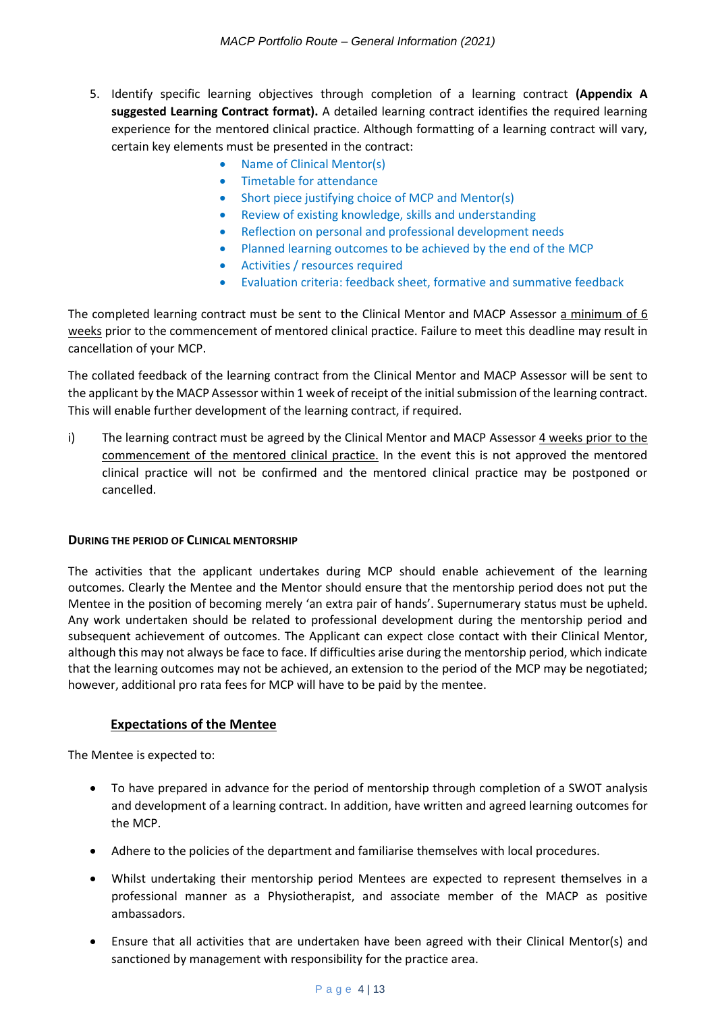- 5. Identify specific learning objectives through completion of a learning contract **(Appendix A suggested Learning Contract format).** A detailed learning contract identifies the required learning experience for the mentored clinical practice. Although formatting of a learning contract will vary, certain key elements must be presented in the contract:
	- Name of Clinical Mentor(s)
	- Timetable for attendance
	- Short piece justifying choice of MCP and Mentor(s)
	- Review of existing knowledge, skills and understanding
	- Reflection on personal and professional development needs
	- Planned learning outcomes to be achieved by the end of the MCP
	- Activities / resources required
	- Evaluation criteria: feedback sheet, formative and summative feedback

The completed learning contract must be sent to the Clinical Mentor and MACP Assessor a minimum of 6 weeks prior to the commencement of mentored clinical practice. Failure to meet this deadline may result in cancellation of your MCP.

The collated feedback of the learning contract from the Clinical Mentor and MACP Assessor will be sent to the applicant by the MACP Assessor within 1 week of receipt of the initial submission of the learning contract. This will enable further development of the learning contract, if required.

i) The learning contract must be agreed by the Clinical Mentor and MACP Assessor 4 weeks prior to the commencement of the mentored clinical practice. In the event this is not approved the mentored clinical practice will not be confirmed and the mentored clinical practice may be postponed or cancelled.

#### **DURING THE PERIOD OF CLINICAL MENTORSHIP**

The activities that the applicant undertakes during MCP should enable achievement of the learning outcomes. Clearly the Mentee and the Mentor should ensure that the mentorship period does not put the Mentee in the position of becoming merely 'an extra pair of hands'. Supernumerary status must be upheld. Any work undertaken should be related to professional development during the mentorship period and subsequent achievement of outcomes. The Applicant can expect close contact with their Clinical Mentor, although this may not always be face to face. If difficulties arise during the mentorship period, which indicate that the learning outcomes may not be achieved, an extension to the period of the MCP may be negotiated; however, additional pro rata fees for MCP will have to be paid by the mentee.

#### **Expectations of the Mentee**

The Mentee is expected to:

- To have prepared in advance for the period of mentorship through completion of a SWOT analysis and development of a learning contract. In addition, have written and agreed learning outcomes for the MCP.
- Adhere to the policies of the department and familiarise themselves with local procedures.
- Whilst undertaking their mentorship period Mentees are expected to represent themselves in a professional manner as a Physiotherapist, and associate member of the MACP as positive ambassadors.
- Ensure that all activities that are undertaken have been agreed with their Clinical Mentor(s) and sanctioned by management with responsibility for the practice area.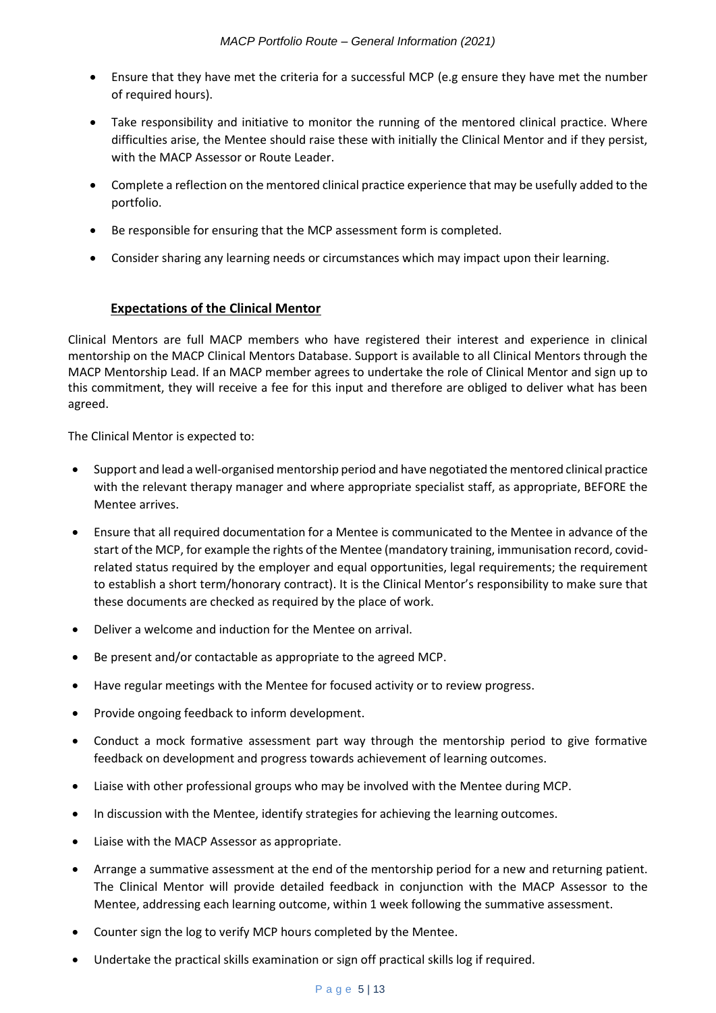- Ensure that they have met the criteria for a successful MCP (e.g ensure they have met the number of required hours).
- Take responsibility and initiative to monitor the running of the mentored clinical practice. Where difficulties arise, the Mentee should raise these with initially the Clinical Mentor and if they persist, with the MACP Assessor or Route Leader.
- Complete a reflection on the mentored clinical practice experience that may be usefully added to the portfolio.
- Be responsible for ensuring that the MCP assessment form is completed.
- Consider sharing any learning needs or circumstances which may impact upon their learning.

#### **Expectations of the Clinical Mentor**

Clinical Mentors are full MACP members who have registered their interest and experience in clinical mentorship on the MACP Clinical Mentors Database. Support is available to all Clinical Mentors through the MACP Mentorship Lead. If an MACP member agrees to undertake the role of Clinical Mentor and sign up to this commitment, they will receive a fee for this input and therefore are obliged to deliver what has been agreed.

The Clinical Mentor is expected to:

- Support and lead a well-organised mentorship period and have negotiated the mentored clinical practice with the relevant therapy manager and where appropriate specialist staff, as appropriate, BEFORE the Mentee arrives.
- Ensure that all required documentation for a Mentee is communicated to the Mentee in advance of the start of the MCP, for example the rights of the Mentee (mandatory training, immunisation record, covidrelated status required by the employer and equal opportunities, legal requirements; the requirement to establish a short term/honorary contract). It is the Clinical Mentor's responsibility to make sure that these documents are checked as required by the place of work.
- Deliver a welcome and induction for the Mentee on arrival.
- Be present and/or contactable as appropriate to the agreed MCP.
- Have regular meetings with the Mentee for focused activity or to review progress.
- Provide ongoing feedback to inform development.
- Conduct a mock formative assessment part way through the mentorship period to give formative feedback on development and progress towards achievement of learning outcomes.
- Liaise with other professional groups who may be involved with the Mentee during MCP.
- In discussion with the Mentee, identify strategies for achieving the learning outcomes.
- Liaise with the MACP Assessor as appropriate.
- Arrange a summative assessment at the end of the mentorship period for a new and returning patient. The Clinical Mentor will provide detailed feedback in conjunction with the MACP Assessor to the Mentee, addressing each learning outcome, within 1 week following the summative assessment.
- Counter sign the log to verify MCP hours completed by the Mentee.
- Undertake the practical skills examination or sign off practical skills log if required.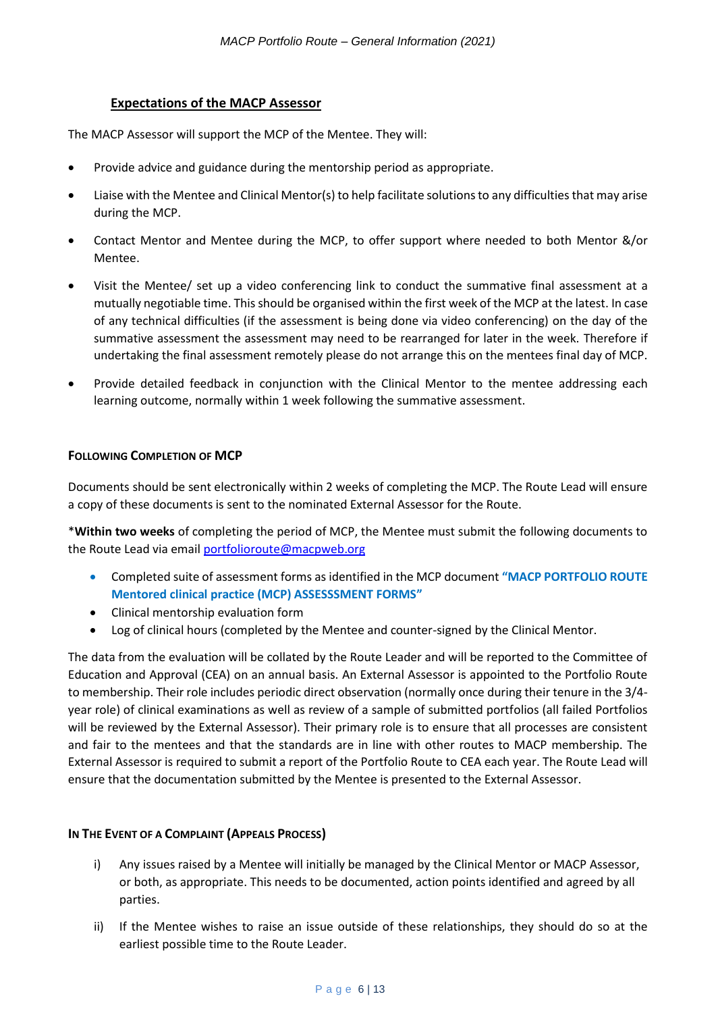#### **Expectations of the MACP Assessor**

The MACP Assessor will support the MCP of the Mentee. They will:

- Provide advice and guidance during the mentorship period as appropriate.
- Liaise with the Mentee and Clinical Mentor(s) to help facilitate solutions to any difficulties that may arise during the MCP.
- Contact Mentor and Mentee during the MCP, to offer support where needed to both Mentor &/or Mentee.
- Visit the Mentee/ set up a video conferencing link to conduct the summative final assessment at a mutually negotiable time. This should be organised within the first week of the MCP at the latest. In case of any technical difficulties (if the assessment is being done via video conferencing) on the day of the summative assessment the assessment may need to be rearranged for later in the week. Therefore if undertaking the final assessment remotely please do not arrange this on the mentees final day of MCP.
- Provide detailed feedback in conjunction with the Clinical Mentor to the mentee addressing each learning outcome, normally within 1 week following the summative assessment.

#### **FOLLOWING COMPLETION OF MCP**

Documents should be sent electronically within 2 weeks of completing the MCP. The Route Lead will ensure a copy of these documents is sent to the nominated External Assessor for the Route.

\***Within two weeks** of completing the period of MCP, the Mentee must submit the following documents to the Route Lead via email [portfolioroute@macpweb.org](mailto:portfolioroute@macpweb.org)

- Completed suite of assessment forms as identified in the MCP document **"MACP PORTFOLIO ROUTE Mentored clinical practice (MCP) ASSESSSMENT FORMS"**
- Clinical mentorship evaluation form
- Log of clinical hours (completed by the Mentee and counter-signed by the Clinical Mentor.

The data from the evaluation will be collated by the Route Leader and will be reported to the Committee of Education and Approval (CEA) on an annual basis. An External Assessor is appointed to the Portfolio Route to membership. Their role includes periodic direct observation (normally once during their tenure in the 3/4 year role) of clinical examinations as well as review of a sample of submitted portfolios (all failed Portfolios will be reviewed by the External Assessor). Their primary role is to ensure that all processes are consistent and fair to the mentees and that the standards are in line with other routes to MACP membership. The External Assessor is required to submit a report of the Portfolio Route to CEA each year. The Route Lead will ensure that the documentation submitted by the Mentee is presented to the External Assessor.

#### **IN THE EVENT OF A COMPLAINT (APPEALS PROCESS)**

- i) Any issues raised by a Mentee will initially be managed by the Clinical Mentor or MACP Assessor, or both, as appropriate. This needs to be documented, action points identified and agreed by all parties.
- ii) If the Mentee wishes to raise an issue outside of these relationships, they should do so at the earliest possible time to the Route Leader.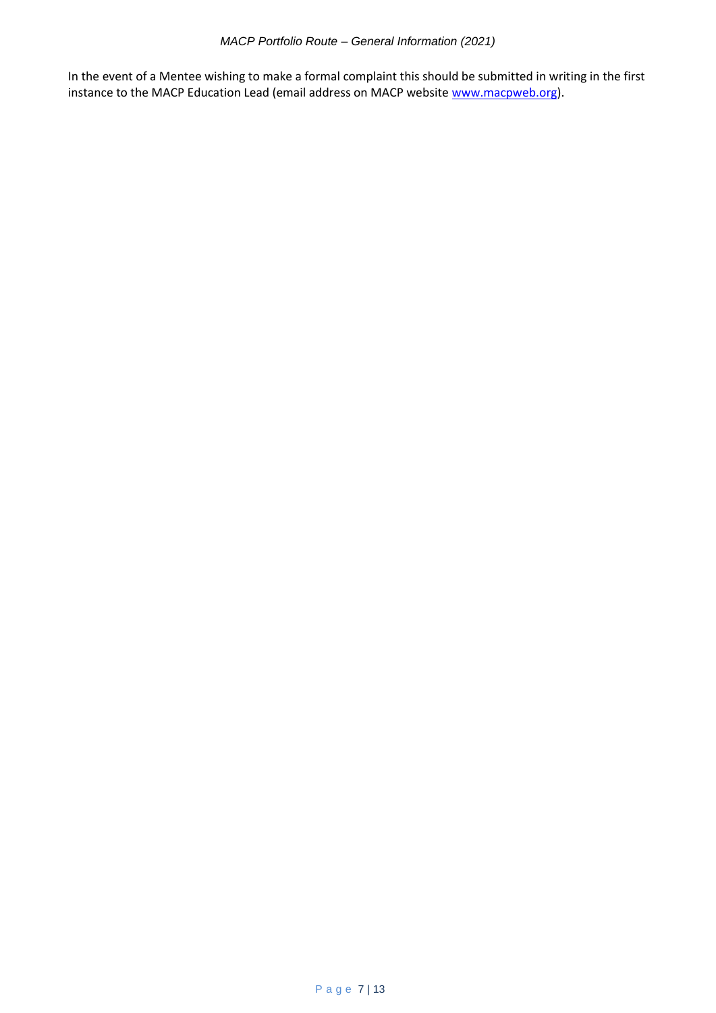In the event of a Mentee wishing to make a formal complaint this should be submitted in writing in the first instance to the MACP Education Lead (email address on MACP websit[e www.macpweb.org\)](file:///C:/Users/Terry/Downloads/www.macpweb.org).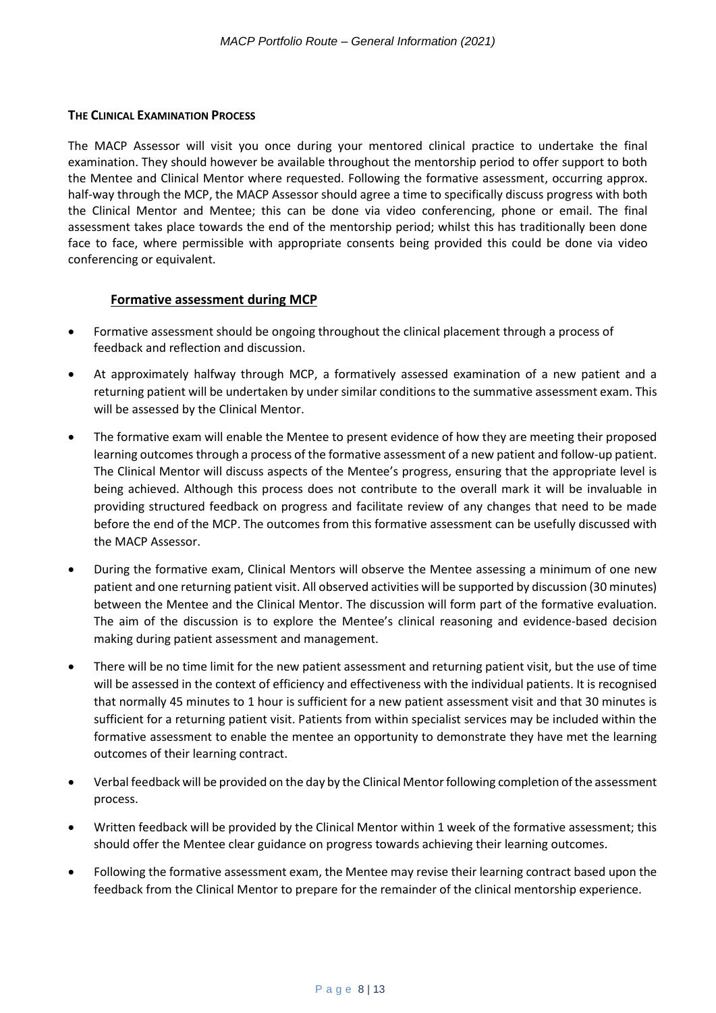#### **THE CLINICAL EXAMINATION PROCESS**

The MACP Assessor will visit you once during your mentored clinical practice to undertake the final examination. They should however be available throughout the mentorship period to offer support to both the Mentee and Clinical Mentor where requested. Following the formative assessment, occurring approx. half-way through the MCP, the MACP Assessor should agree a time to specifically discuss progress with both the Clinical Mentor and Mentee; this can be done via video conferencing, phone or email. The final assessment takes place towards the end of the mentorship period; whilst this has traditionally been done face to face, where permissible with appropriate consents being provided this could be done via video conferencing or equivalent.

#### **Formative assessment during MCP**

- Formative assessment should be ongoing throughout the clinical placement through a process of feedback and reflection and discussion.
- At approximately halfway through MCP, a formatively assessed examination of a new patient and a returning patient will be undertaken by under similar conditions to the summative assessment exam. This will be assessed by the Clinical Mentor.
- The formative exam will enable the Mentee to present evidence of how they are meeting their proposed learning outcomes through a process of the formative assessment of a new patient and follow-up patient. The Clinical Mentor will discuss aspects of the Mentee's progress, ensuring that the appropriate level is being achieved. Although this process does not contribute to the overall mark it will be invaluable in providing structured feedback on progress and facilitate review of any changes that need to be made before the end of the MCP. The outcomes from this formative assessment can be usefully discussed with the MACP Assessor.
- During the formative exam, Clinical Mentors will observe the Mentee assessing a minimum of one new patient and one returning patient visit. All observed activities will be supported by discussion (30 minutes) between the Mentee and the Clinical Mentor. The discussion will form part of the formative evaluation. The aim of the discussion is to explore the Mentee's clinical reasoning and evidence-based decision making during patient assessment and management.
- There will be no time limit for the new patient assessment and returning patient visit, but the use of time will be assessed in the context of efficiency and effectiveness with the individual patients. It is recognised that normally 45 minutes to 1 hour is sufficient for a new patient assessment visit and that 30 minutes is sufficient for a returning patient visit. Patients from within specialist services may be included within the formative assessment to enable the mentee an opportunity to demonstrate they have met the learning outcomes of their learning contract.
- Verbal feedback will be provided on the day by the Clinical Mentor following completion of the assessment process.
- Written feedback will be provided by the Clinical Mentor within 1 week of the formative assessment; this should offer the Mentee clear guidance on progress towards achieving their learning outcomes.
- Following the formative assessment exam, the Mentee may revise their learning contract based upon the feedback from the Clinical Mentor to prepare for the remainder of the clinical mentorship experience.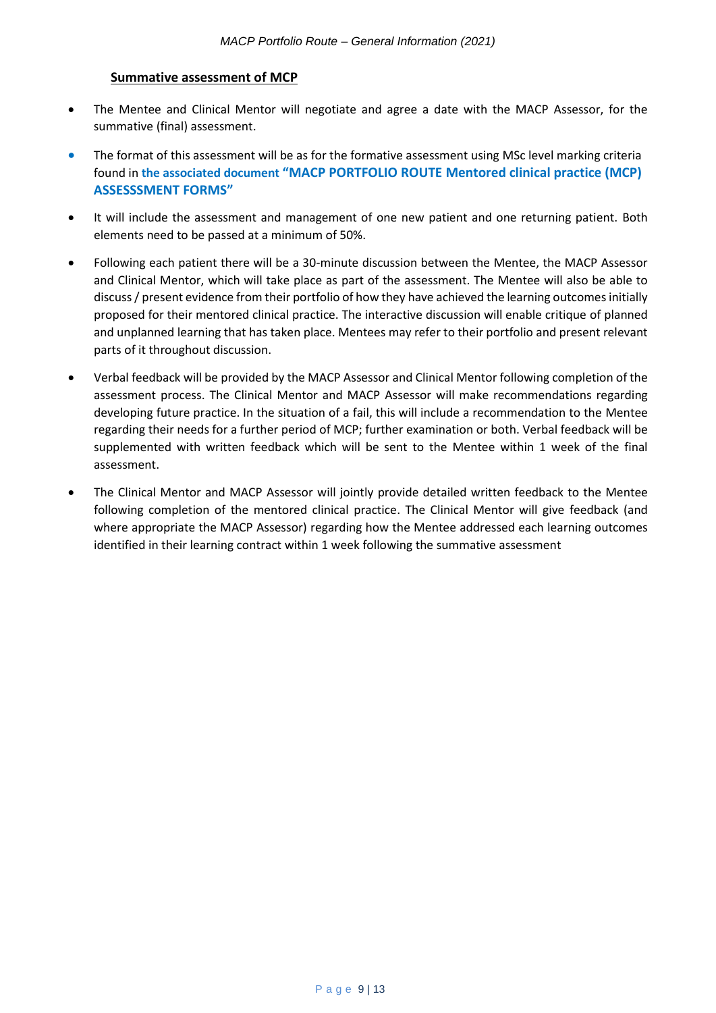#### **Summative assessment of MCP**

- The Mentee and Clinical Mentor will negotiate and agree a date with the MACP Assessor, for the summative (final) assessment.
- The format of this assessment will be as for the formative assessment using MSc level marking criteria found in **the associated document "MACP PORTFOLIO ROUTE Mentored clinical practice (MCP) ASSESSSMENT FORMS"**
- It will include the assessment and management of one new patient and one returning patient. Both elements need to be passed at a minimum of 50%.
- Following each patient there will be a 30-minute discussion between the Mentee, the MACP Assessor and Clinical Mentor, which will take place as part of the assessment. The Mentee will also be able to discuss / present evidence from their portfolio of how they have achieved the learning outcomes initially proposed for their mentored clinical practice. The interactive discussion will enable critique of planned and unplanned learning that has taken place. Mentees may refer to their portfolio and present relevant parts of it throughout discussion.
- Verbal feedback will be provided by the MACP Assessor and Clinical Mentor following completion of the assessment process. The Clinical Mentor and MACP Assessor will make recommendations regarding developing future practice. In the situation of a fail, this will include a recommendation to the Mentee regarding their needs for a further period of MCP; further examination or both. Verbal feedback will be supplemented with written feedback which will be sent to the Mentee within 1 week of the final assessment.
- The Clinical Mentor and MACP Assessor will jointly provide detailed written feedback to the Mentee following completion of the mentored clinical practice. The Clinical Mentor will give feedback (and where appropriate the MACP Assessor) regarding how the Mentee addressed each learning outcomes identified in their learning contract within 1 week following the summative assessment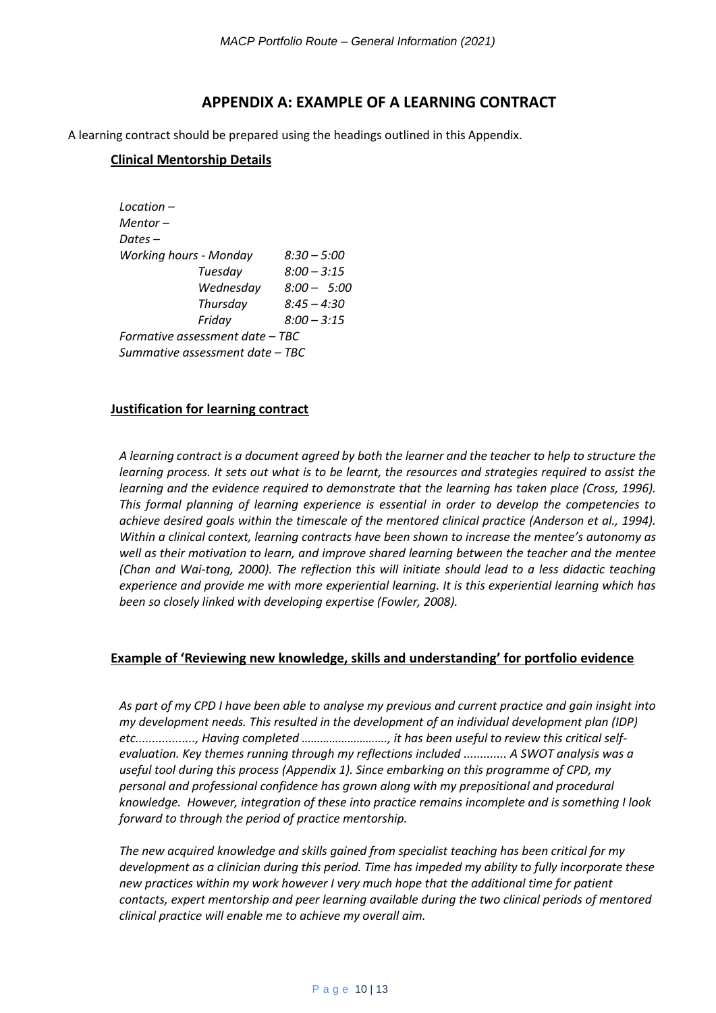#### **APPENDIX A: EXAMPLE OF A LEARNING CONTRACT**

A learning contract should be prepared using the headings outlined in this Appendix.

#### **Clinical Mentorship Details**

*Location – Mentor – Dates – Working hours - Monday 8:30 – 5:00 Tuesday 8:00 – 3:15 Wednesday 8:00 – 5:00 Thursday 8:45 – 4:30 Friday 8:00 – 3:15 Formative assessment date – TBC Summative assessment date – TBC*

#### **Justification for learning contract**

*A learning contract is a document agreed by both the learner and the teacher to help to structure the learning process. It sets out what is to be learnt, the resources and strategies required to assist the*  learning and the evidence required to demonstrate that the learning has taken place (Cross, 1996). *This formal planning of learning experience is essential in order to develop the competencies to achieve desired goals within the timescale of the mentored clinical practice (Anderson et al., 1994). Within a clinical context, learning contracts have been shown to increase the mentee's autonomy as well as their motivation to learn, and improve shared learning between the teacher and the mentee (Chan and Wai-tong, 2000). The reflection this will initiate should lead to a less didactic teaching experience and provide me with more experiential learning. It is this experiential learning which has been so closely linked with developing expertise (Fowler, 2008).*

#### **Example of 'Reviewing new knowledge, skills and understanding' for portfolio evidence**

*As part of my CPD I have been able to analyse my previous and current practice and gain insight into my development needs. This resulted in the development of an individual development plan (IDP) etc.................., Having completed ………………………., it has been useful to review this critical selfevaluation. Key themes running through my reflections included ............. A SWOT analysis was a useful tool during this process (Appendix 1). Since embarking on this programme of CPD, my personal and professional confidence has grown along with my prepositional and procedural knowledge. However, integration of these into practice remains incomplete and is something I look forward to through the period of practice mentorship.* 

*The new acquired knowledge and skills gained from specialist teaching has been critical for my development as a clinician during this period. Time has impeded my ability to fully incorporate these new practices within my work however I very much hope that the additional time for patient contacts, expert mentorship and peer learning available during the two clinical periods of mentored clinical practice will enable me to achieve my overall aim.*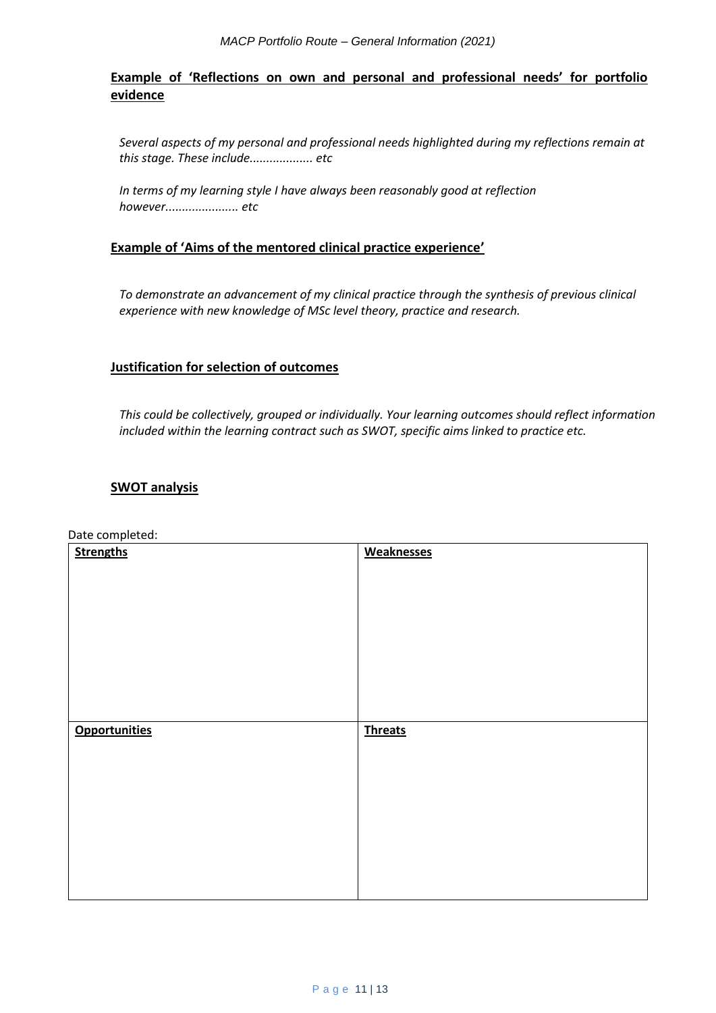# **Example of 'Reflections on own and personal and professional needs' for portfolio evidence**

*Several aspects of my personal and professional needs highlighted during my reflections remain at this stage. These include................... etc*

*In terms of my learning style I have always been reasonably good at reflection however...................... etc* 

#### **Example of 'Aims of the mentored clinical practice experience'**

*To demonstrate an advancement of my clinical practice through the synthesis of previous clinical experience with new knowledge of MSc level theory, practice and research.*

#### **Justification for selection of outcomes**

*This could be collectively, grouped or individually. Your learning outcomes should reflect information included within the learning contract such as SWOT, specific aims linked to practice etc.* 

#### **SWOT analysis**

Date completed:

| <b>Strengths</b>     | <b>Weaknesses</b> |
|----------------------|-------------------|
|                      |                   |
|                      |                   |
|                      |                   |
|                      |                   |
|                      |                   |
|                      |                   |
|                      |                   |
|                      |                   |
| <b>Opportunities</b> | <b>Threats</b>    |
|                      |                   |
|                      |                   |
|                      |                   |
|                      |                   |
|                      |                   |
|                      |                   |
|                      |                   |
|                      |                   |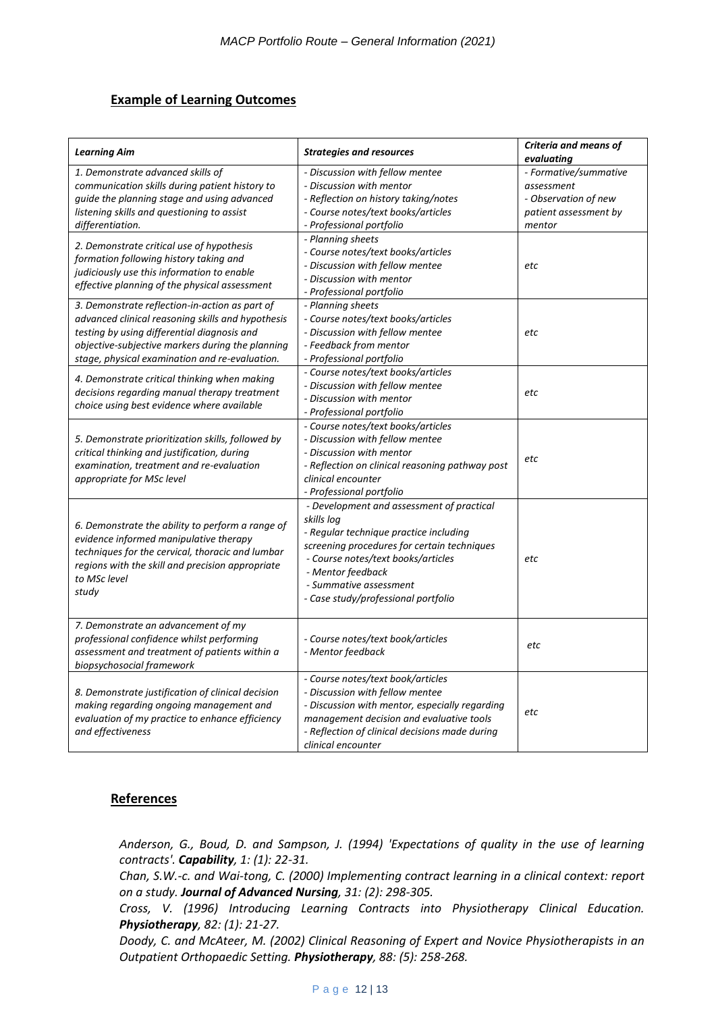#### **Example of Learning Outcomes**

| <b>Learning Aim</b>                                                                                                                                                                                                                                      | <b>Strategies and resources</b>                                                                                                                                                                                                                                              | Criteria and means of<br>evaluating                                                            |
|----------------------------------------------------------------------------------------------------------------------------------------------------------------------------------------------------------------------------------------------------------|------------------------------------------------------------------------------------------------------------------------------------------------------------------------------------------------------------------------------------------------------------------------------|------------------------------------------------------------------------------------------------|
| 1. Demonstrate advanced skills of<br>communication skills during patient history to<br>guide the planning stage and using advanced<br>listening skills and questioning to assist<br>differentiation.                                                     | - Discussion with fellow mentee<br>- Discussion with mentor<br>- Reflection on history taking/notes<br>- Course notes/text books/articles<br>- Professional portfolio                                                                                                        | - Formative/summative<br>assessment<br>- Observation of new<br>patient assessment by<br>mentor |
| 2. Demonstrate critical use of hypothesis<br>formation following history taking and<br>judiciously use this information to enable<br>effective planning of the physical assessment                                                                       | - Planning sheets<br>- Course notes/text books/articles<br>- Discussion with fellow mentee<br>- Discussion with mentor<br>- Professional portfolio                                                                                                                           | etc                                                                                            |
| 3. Demonstrate reflection-in-action as part of<br>advanced clinical reasoning skills and hypothesis<br>testing by using differential diagnosis and<br>objective-subjective markers during the planning<br>stage, physical examination and re-evaluation. | - Planning sheets<br>- Course notes/text books/articles<br>- Discussion with fellow mentee<br>- Feedback from mentor<br>- Professional portfolio                                                                                                                             | etc                                                                                            |
| 4. Demonstrate critical thinking when making<br>decisions regarding manual therapy treatment<br>choice using best evidence where available                                                                                                               | - Course notes/text books/articles<br>- Discussion with fellow mentee<br>- Discussion with mentor<br>- Professional portfolio                                                                                                                                                | etc                                                                                            |
| 5. Demonstrate prioritization skills, followed by<br>critical thinking and justification, during<br>examination, treatment and re-evaluation<br>appropriate for MSc level                                                                                | - Course notes/text books/articles<br>- Discussion with fellow mentee<br>- Discussion with mentor<br>- Reflection on clinical reasoning pathway post<br>clinical encounter<br>- Professional portfolio                                                                       | etc                                                                                            |
| 6. Demonstrate the ability to perform a range of<br>evidence informed manipulative therapy<br>techniques for the cervical, thoracic and lumbar<br>regions with the skill and precision appropriate<br>to MSc level<br>study                              | - Development and assessment of practical<br>skills log<br>- Regular technique practice including<br>screening procedures for certain techniques<br>- Course notes/text books/articles<br>- Mentor feedback<br>- Summative assessment<br>- Case study/professional portfolio | etc                                                                                            |
| 7. Demonstrate an advancement of my<br>professional confidence whilst performing<br>assessment and treatment of patients within a<br>biopsychosocial framework                                                                                           | - Course notes/text book/articles<br>- Mentor feedback                                                                                                                                                                                                                       | etc                                                                                            |
| 8. Demonstrate justification of clinical decision<br>making regarding ongoing management and<br>evaluation of my practice to enhance efficiency<br>and effectiveness                                                                                     | - Course notes/text book/articles<br>- Discussion with fellow mentee<br>- Discussion with mentor, especially regarding<br>management decision and evaluative tools<br>- Reflection of clinical decisions made during<br>clinical encounter                                   | etc                                                                                            |

#### **References**

*Anderson, G., Boud, D. and Sampson, J. (1994) 'Expectations of quality in the use of learning contracts'. Capability, 1: (1): 22-31.*

*Chan, S.W.-c. and Wai-tong, C. (2000) Implementing contract learning in a clinical context: report on a study. Journal of Advanced Nursing, 31: (2): 298-305.*

*Cross, V. (1996) Introducing Learning Contracts into Physiotherapy Clinical Education. Physiotherapy, 82: (1): 21-27.*

*Doody, C. and McAteer, M. (2002) Clinical Reasoning of Expert and Novice Physiotherapists in an Outpatient Orthopaedic Setting. Physiotherapy, 88: (5): 258-268.*